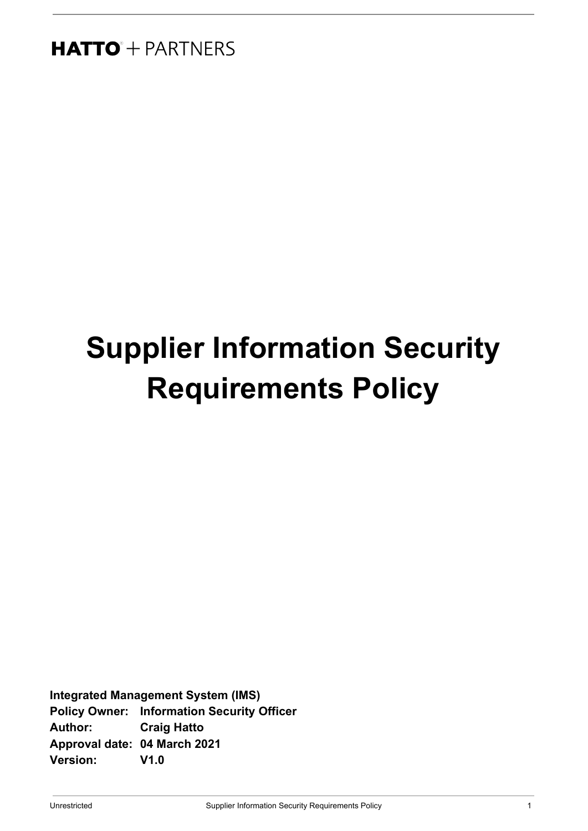# **Supplier Information Security Requirements Policy**

**Integrated Management System (IMS) Policy Owner: Information Security Officer Author: Craig Hatto Approval date: 04 March 2021 Version: V1.0**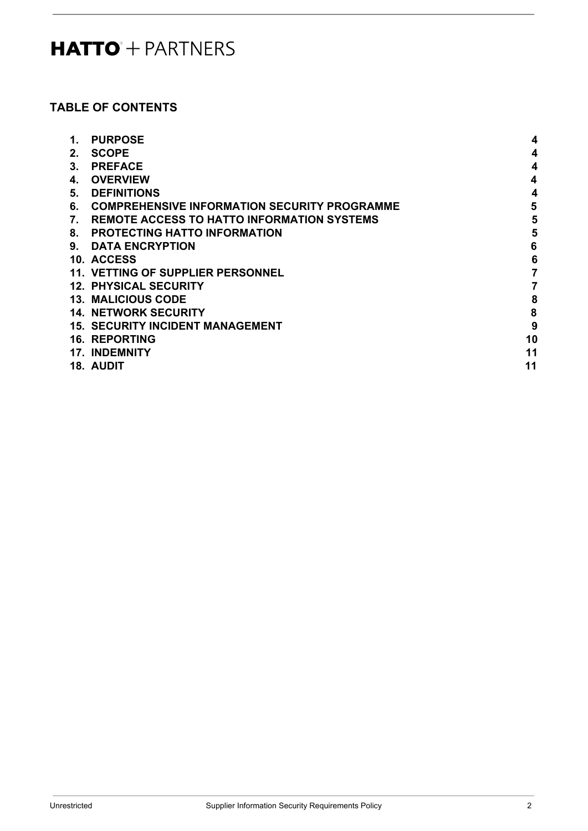# **TABLE OF CONTENTS**

| 1. | <b>PURPOSE</b>                                      | 4              |
|----|-----------------------------------------------------|----------------|
| 2. | <b>SCOPE</b>                                        | 4              |
| 3. | <b>PREFACE</b>                                      | 4              |
| 4. | <b>OVERVIEW</b>                                     | 4              |
| 5. | <b>DEFINITIONS</b>                                  | 4              |
| 6. | <b>COMPREHENSIVE INFORMATION SECURITY PROGRAMME</b> | 5              |
| 7. | <b>REMOTE ACCESS TO HATTO INFORMATION SYSTEMS</b>   | 5              |
| 8. | <b>PROTECTING HATTO INFORMATION</b>                 | 5              |
| 9. | <b>DATA ENCRYPTION</b>                              | 6              |
|    | 10. ACCESS                                          | 6              |
|    | <b>11. VETTING OF SUPPLIER PERSONNEL</b>            | $\overline{7}$ |
|    | <b>12. PHYSICAL SECURITY</b>                        | 7              |
|    | <b>13. MALICIOUS CODE</b>                           | 8              |
|    | <b>14. NETWORK SECURITY</b>                         | 8              |
|    | <b>15. SECURITY INCIDENT MANAGEMENT</b>             | 9              |
|    | <b>16. REPORTING</b>                                | 10             |
|    | <b>17. INDEMNITY</b>                                | 11             |
|    | <b>18. AUDIT</b>                                    | 11             |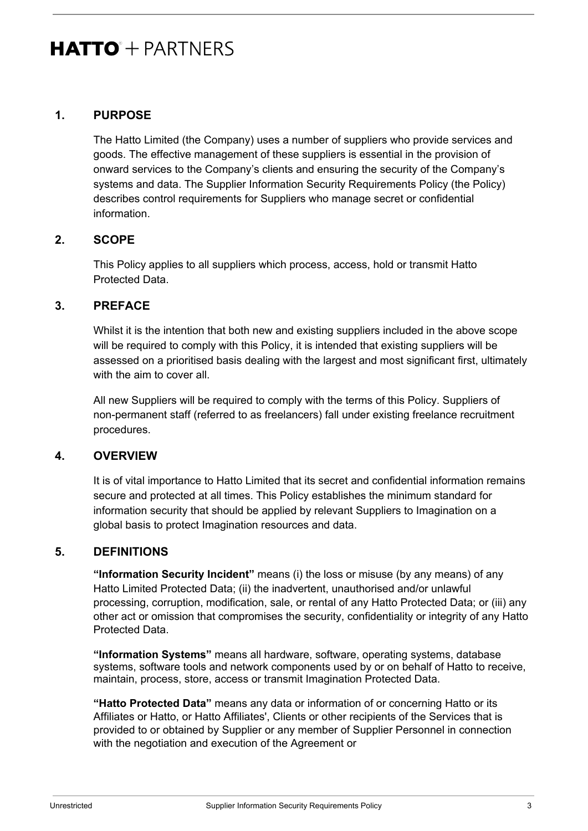### <span id="page-2-0"></span>**1. PURPOSE**

The Hatto Limited (the Company) uses a number of suppliers who provide services and goods. The effective management of these suppliers is essential in the provision of onward services to the Company's clients and ensuring the security of the Company's systems and data. The Supplier Information Security Requirements Policy (the Policy) describes control requirements for Suppliers who manage secret or confidential information.

### <span id="page-2-1"></span>**2. SCOPE**

This Policy applies to all suppliers which process, access, hold or transmit Hatto Protected Data.

### <span id="page-2-2"></span>**3. PREFACE**

Whilst it is the intention that both new and existing suppliers included in the above scope will be required to comply with this Policy, it is intended that existing suppliers will be assessed on a prioritised basis dealing with the largest and most significant first, ultimately with the aim to cover all

All new Suppliers will be required to comply with the terms of this Policy. Suppliers of non-permanent staff (referred to as freelancers) fall under existing freelance recruitment procedures.

### <span id="page-2-3"></span>**4. OVERVIEW**

It is of vital importance to Hatto Limited that its secret and confidential information remains secure and protected at all times. This Policy establishes the minimum standard for information security that should be applied by relevant Suppliers to Imagination on a global basis to protect Imagination resources and data.

### <span id="page-2-4"></span>**5. DEFINITIONS**

**"Information Security Incident"** means (i) the loss or misuse (by any means) of any Hatto Limited Protected Data; (ii) the inadvertent, unauthorised and/or unlawful processing, corruption, modification, sale, or rental of any Hatto Protected Data; or (iii) any other act or omission that compromises the security, confidentiality or integrity of any Hatto Protected Data.

**"Information Systems"** means all hardware, software, operating systems, database systems, software tools and network components used by or on behalf of Hatto to receive, maintain, process, store, access or transmit Imagination Protected Data.

**"Hatto Protected Data"** means any data or information of or concerning Hatto or its Affiliates or Hatto, or Hatto Affiliates', Clients or other recipients of the Services that is provided to or obtained by Supplier or any member of Supplier Personnel in connection with the negotiation and execution of the Agreement or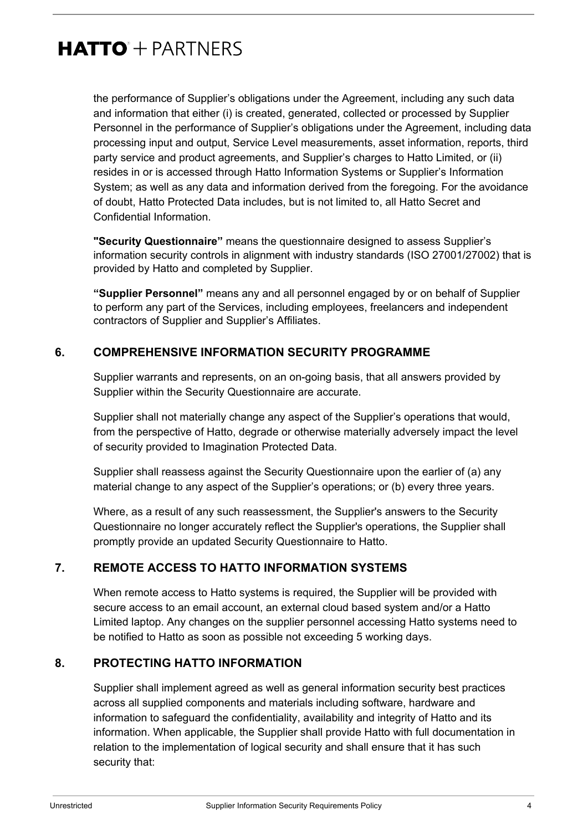the performance of Supplier's obligations under the Agreement, including any such data and information that either (i) is created, generated, collected or processed by Supplier Personnel in the performance of Supplier's obligations under the Agreement, including data processing input and output, Service Level measurements, asset information, reports, third party service and product agreements, and Supplier's charges to Hatto Limited, or (ii) resides in or is accessed through Hatto Information Systems or Supplier's Information System; as well as any data and information derived from the foregoing. For the avoidance of doubt, Hatto Protected Data includes, but is not limited to, all Hatto Secret and Confidential Information.

**"Security Questionnaire"** means the questionnaire designed to assess Supplier's information security controls in alignment with industry standards (ISO 27001/27002) that is provided by Hatto and completed by Supplier.

**"Supplier Personnel"** means any and all personnel engaged by or on behalf of Supplier to perform any part of the Services, including employees, freelancers and independent contractors of Supplier and Supplier's Affiliates.

### <span id="page-3-0"></span>**6. COMPREHENSIVE INFORMATION SECURITY PROGRAMME**

Supplier warrants and represents, on an on-going basis, that all answers provided by Supplier within the Security Questionnaire are accurate.

Supplier shall not materially change any aspect of the Supplier's operations that would, from the perspective of Hatto, degrade or otherwise materially adversely impact the level of security provided to Imagination Protected Data.

Supplier shall reassess against the Security Questionnaire upon the earlier of (a) any material change to any aspect of the Supplier's operations; or (b) every three years.

Where, as a result of any such reassessment, the Supplier's answers to the Security Questionnaire no longer accurately reflect the Supplier's operations, the Supplier shall promptly provide an updated Security Questionnaire to Hatto.

### <span id="page-3-1"></span>**7. REMOTE ACCESS TO HATTO INFORMATION SYSTEMS**

When remote access to Hatto systems is required, the Supplier will be provided with secure access to an email account, an external cloud based system and/or a Hatto Limited laptop. Any changes on the supplier personnel accessing Hatto systems need to be notified to Hatto as soon as possible not exceeding 5 working days.

### <span id="page-3-2"></span>**8. PROTECTING HATTO INFORMATION**

Supplier shall implement agreed as well as general information security best practices across all supplied components and materials including software, hardware and information to safeguard the confidentiality, availability and integrity of Hatto and its information. When applicable, the Supplier shall provide Hatto with full documentation in relation to the implementation of logical security and shall ensure that it has such security that: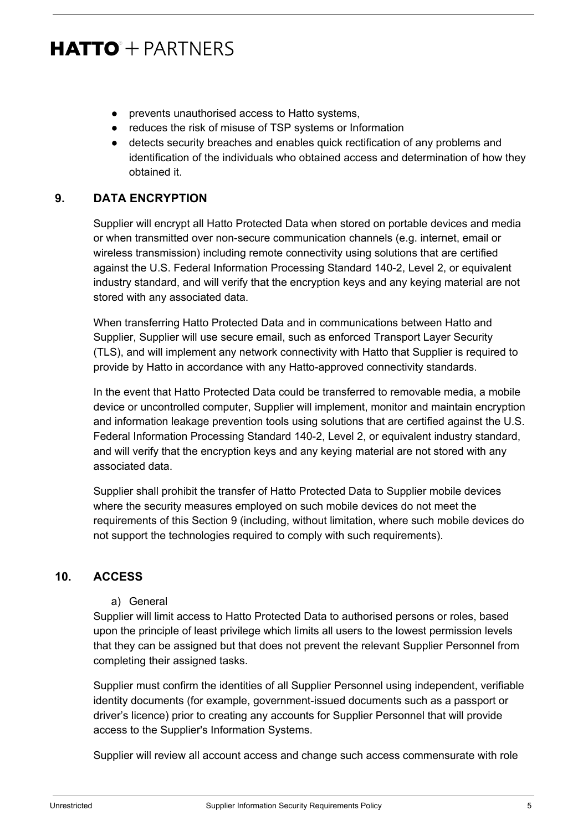- prevents unauthorised access to Hatto systems,
- reduces the risk of misuse of TSP systems or Information
- detects security breaches and enables quick rectification of any problems and identification of the individuals who obtained access and determination of how they obtained it.

### <span id="page-4-0"></span>**9. DATA ENCRYPTION**

Supplier will encrypt all Hatto Protected Data when stored on portable devices and media or when transmitted over non-secure communication channels (e.g. internet, email or wireless transmission) including remote connectivity using solutions that are certified against the U.S. Federal Information Processing Standard 140-2, Level 2, or equivalent industry standard, and will verify that the encryption keys and any keying material are not stored with any associated data.

When transferring Hatto Protected Data and in communications between Hatto and Supplier, Supplier will use secure email, such as enforced Transport Layer Security (TLS), and will implement any network connectivity with Hatto that Supplier is required to provide by Hatto in accordance with any Hatto-approved connectivity standards.

In the event that Hatto Protected Data could be transferred to removable media, a mobile device or uncontrolled computer, Supplier will implement, monitor and maintain encryption and information leakage prevention tools using solutions that are certified against the U.S. Federal Information Processing Standard 140-2, Level 2, or equivalent industry standard, and will verify that the encryption keys and any keying material are not stored with any associated data.

Supplier shall prohibit the transfer of Hatto Protected Data to Supplier mobile devices where the security measures employed on such mobile devices do not meet the requirements of this Section 9 (including, without limitation, where such mobile devices do not support the technologies required to comply with such requirements).

### <span id="page-4-1"></span>**10. ACCESS**

a) General

Supplier will limit access to Hatto Protected Data to authorised persons or roles, based upon the principle of least privilege which limits all users to the lowest permission levels that they can be assigned but that does not prevent the relevant Supplier Personnel from completing their assigned tasks.

Supplier must confirm the identities of all Supplier Personnel using independent, verifiable identity documents (for example, government-issued documents such as a passport or driver's licence) prior to creating any accounts for Supplier Personnel that will provide access to the Supplier's Information Systems.

Supplier will review all account access and change such access commensurate with role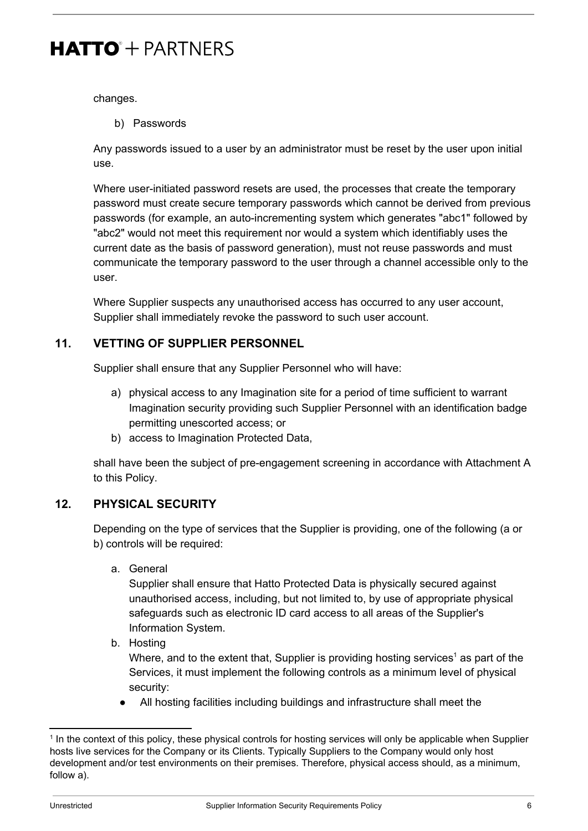changes.

b) Passwords

Any passwords issued to a user by an administrator must be reset by the user upon initial use.

Where user-initiated password resets are used, the processes that create the temporary password must create secure temporary passwords which cannot be derived from previous passwords (for example, an auto-incrementing system which generates "abc1" followed by "abc2" would not meet this requirement nor would a system which identifiably uses the current date as the basis of password generation), must not reuse passwords and must communicate the temporary password to the user through a channel accessible only to the user.

Where Supplier suspects any unauthorised access has occurred to any user account, Supplier shall immediately revoke the password to such user account.

### <span id="page-5-0"></span>**11. VETTING OF SUPPLIER PERSONNEL**

Supplier shall ensure that any Supplier Personnel who will have:

- a) physical access to any Imagination site for a period of time sufficient to warrant Imagination security providing such Supplier Personnel with an identification badge permitting unescorted access; or
- b) access to Imagination Protected Data,

shall have been the subject of pre-engagement screening in accordance with Attachment A to this Policy.

### <span id="page-5-1"></span>**12. PHYSICAL SECURITY**

Depending on the type of services that the Supplier is providing, one of the following (a or b) controls will be required:

a. General

Supplier shall ensure that Hatto Protected Data is physically secured against unauthorised access, including, but not limited to, by use of appropriate physical safeguards such as electronic ID card access to all areas of the Supplier's Information System.

b. Hosting

Where, and to the extent that, Supplier is providing hosting services<sup>1</sup> as part of the Services, it must implement the following controls as a minimum level of physical security:

● All hosting facilities including buildings and infrastructure shall meet the

<sup>&</sup>lt;sup>1</sup> In the context of this policy, these physical controls for hosting services will only be applicable when Supplier hosts live services for the Company or its Clients. Typically Suppliers to the Company would only host development and/or test environments on their premises. Therefore, physical access should, as a minimum, follow a).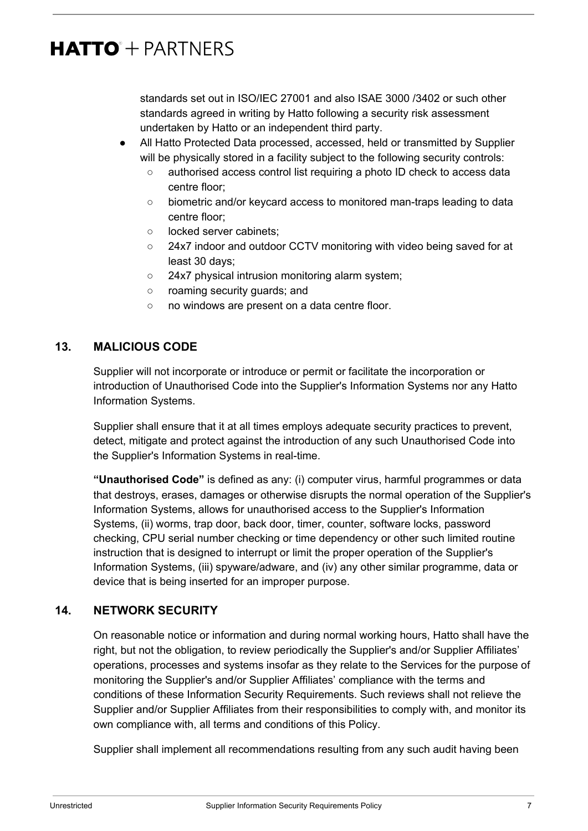standards set out in ISO/IEC 27001 and also ISAE 3000 /3402 or such other standards agreed in writing by Hatto following a security risk assessment undertaken by Hatto or an independent third party.

- All Hatto Protected Data processed, accessed, held or transmitted by Supplier will be physically stored in a facility subject to the following security controls:
	- authorised access control list requiring a photo ID check to access data centre floor;
	- biometric and/or keycard access to monitored man-traps leading to data centre floor;
	- locked server cabinets;
	- 24x7 indoor and outdoor CCTV monitoring with video being saved for at least 30 days;
	- 24x7 physical intrusion monitoring alarm system;
	- roaming security guards; and
	- no windows are present on a data centre floor.

## <span id="page-6-0"></span>**13. MALICIOUS CODE**

Supplier will not incorporate or introduce or permit or facilitate the incorporation or introduction of Unauthorised Code into the Supplier's Information Systems nor any Hatto Information Systems.

Supplier shall ensure that it at all times employs adequate security practices to prevent, detect, mitigate and protect against the introduction of any such Unauthorised Code into the Supplier's Information Systems in real-time.

**"Unauthorised Code"** is defined as any: (i) computer virus, harmful programmes or data that destroys, erases, damages or otherwise disrupts the normal operation of the Supplier's Information Systems, allows for unauthorised access to the Supplier's Information Systems, (ii) worms, trap door, back door, timer, counter, software locks, password checking, CPU serial number checking or time dependency or other such limited routine instruction that is designed to interrupt or limit the proper operation of the Supplier's Information Systems, (iii) spyware/adware, and (iv) any other similar programme, data or device that is being inserted for an improper purpose.

### <span id="page-6-1"></span>**14. NETWORK SECURITY**

On reasonable notice or information and during normal working hours, Hatto shall have the right, but not the obligation, to review periodically the Supplier's and/or Supplier Affiliates' operations, processes and systems insofar as they relate to the Services for the purpose of monitoring the Supplier's and/or Supplier Affiliates' compliance with the terms and conditions of these Information Security Requirements. Such reviews shall not relieve the Supplier and/or Supplier Affiliates from their responsibilities to comply with, and monitor its own compliance with, all terms and conditions of this Policy.

Supplier shall implement all recommendations resulting from any such audit having been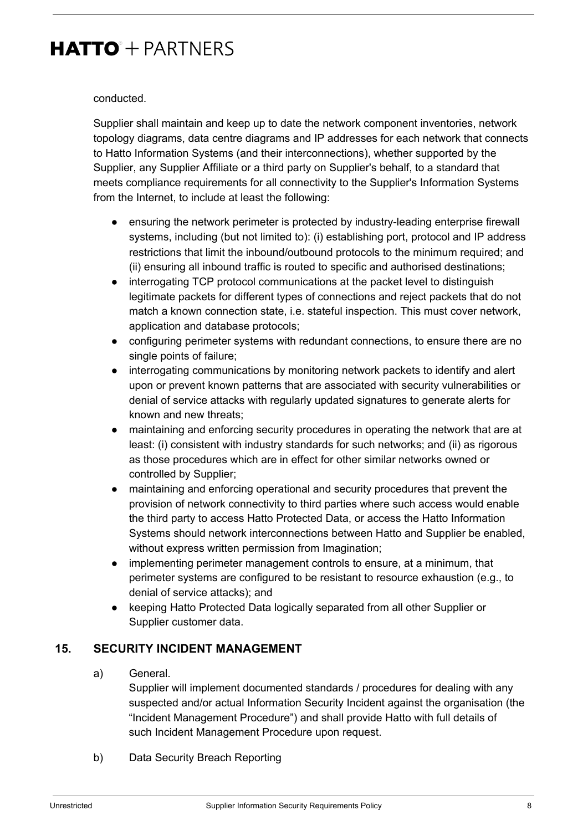#### conducted.

Supplier shall maintain and keep up to date the network component inventories, network topology diagrams, data centre diagrams and IP addresses for each network that connects to Hatto Information Systems (and their interconnections), whether supported by the Supplier, any Supplier Affiliate or a third party on Supplier's behalf, to a standard that meets compliance requirements for all connectivity to the Supplier's Information Systems from the Internet, to include at least the following:

- ensuring the network perimeter is protected by industry-leading enterprise firewall systems, including (but not limited to): (i) establishing port, protocol and IP address restrictions that limit the inbound/outbound protocols to the minimum required; and (ii) ensuring all inbound traffic is routed to specific and authorised destinations;
- interrogating TCP protocol communications at the packet level to distinguish legitimate packets for different types of connections and reject packets that do not match a known connection state, i.e. stateful inspection. This must cover network, application and database protocols;
- configuring perimeter systems with redundant connections, to ensure there are no single points of failure;
- interrogating communications by monitoring network packets to identify and alert upon or prevent known patterns that are associated with security vulnerabilities or denial of service attacks with regularly updated signatures to generate alerts for known and new threats;
- maintaining and enforcing security procedures in operating the network that are at least: (i) consistent with industry standards for such networks; and (ii) as rigorous as those procedures which are in effect for other similar networks owned or controlled by Supplier;
- maintaining and enforcing operational and security procedures that prevent the provision of network connectivity to third parties where such access would enable the third party to access Hatto Protected Data, or access the Hatto Information Systems should network interconnections between Hatto and Supplier be enabled, without express written permission from Imagination;
- implementing perimeter management controls to ensure, at a minimum, that perimeter systems are configured to be resistant to resource exhaustion (e.g., to denial of service attacks); and
- keeping Hatto Protected Data logically separated from all other Supplier or Supplier customer data.

### <span id="page-7-0"></span>**15. SECURITY INCIDENT MANAGEMENT**

a) General.

Supplier will implement documented standards / procedures for dealing with any suspected and/or actual Information Security Incident against the organisation (the "Incident Management Procedure") and shall provide Hatto with full details of such Incident Management Procedure upon request.

b) Data Security Breach Reporting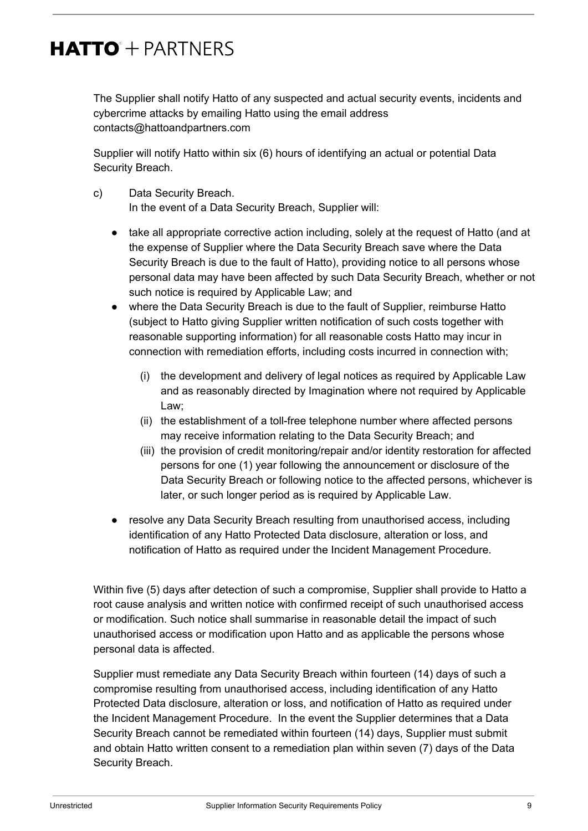The Supplier shall notify Hatto of any suspected and actual security events, incidents and cybercrime attacks by emailing Hatto using the email address contacts@hattoandpartners.com

Supplier will notify Hatto within six (6) hours of identifying an actual or potential Data Security Breach.

- c) Data Security Breach. In the event of a Data Security Breach, Supplier will:
	- take all appropriate corrective action including, solely at the request of Hatto (and at the expense of Supplier where the Data Security Breach save where the Data Security Breach is due to the fault of Hatto), providing notice to all persons whose personal data may have been affected by such Data Security Breach, whether or not such notice is required by Applicable Law; and
	- where the Data Security Breach is due to the fault of Supplier, reimburse Hatto (subject to Hatto giving Supplier written notification of such costs together with reasonable supporting information) for all reasonable costs Hatto may incur in connection with remediation efforts, including costs incurred in connection with;
		- (i) the development and delivery of legal notices as required by Applicable Law and as reasonably directed by Imagination where not required by Applicable Law;
		- (ii) the establishment of a toll-free telephone number where affected persons may receive information relating to the Data Security Breach; and
		- (iii) the provision of credit monitoring/repair and/or identity restoration for affected persons for one (1) year following the announcement or disclosure of the Data Security Breach or following notice to the affected persons, whichever is later, or such longer period as is required by Applicable Law.
	- resolve any Data Security Breach resulting from unauthorised access, including identification of any Hatto Protected Data disclosure, alteration or loss, and notification of Hatto as required under the Incident Management Procedure.

Within five (5) days after detection of such a compromise, Supplier shall provide to Hatto a root cause analysis and written notice with confirmed receipt of such unauthorised access or modification. Such notice shall summarise in reasonable detail the impact of such unauthorised access or modification upon Hatto and as applicable the persons whose personal data is affected.

Supplier must remediate any Data Security Breach within fourteen (14) days of such a compromise resulting from unauthorised access, including identification of any Hatto Protected Data disclosure, alteration or loss, and notification of Hatto as required under the Incident Management Procedure. In the event the Supplier determines that a Data Security Breach cannot be remediated within fourteen (14) days, Supplier must submit and obtain Hatto written consent to a remediation plan within seven (7) days of the Data Security Breach.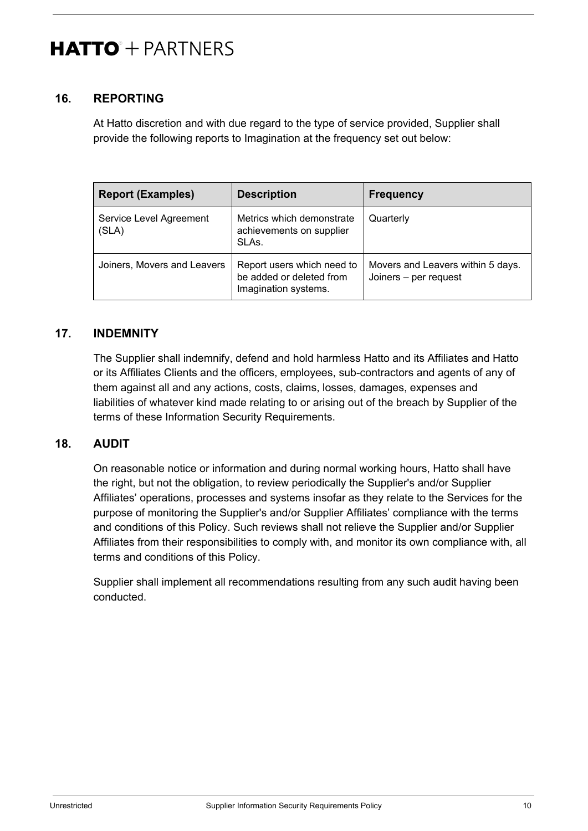### <span id="page-9-0"></span>**16. REPORTING**

At Hatto discretion and with due regard to the type of service provided, Supplier shall provide the following reports to Imagination at the frequency set out below:

| <b>Report (Examples)</b>         | <b>Description</b>                                                             | <b>Frequency</b>                                           |
|----------------------------------|--------------------------------------------------------------------------------|------------------------------------------------------------|
| Service Level Agreement<br>(SLA) | Metrics which demonstrate<br>achievements on supplier<br>SLAs.                 | Quarterly                                                  |
| Joiners, Movers and Leavers      | Report users which need to<br>be added or deleted from<br>Imagination systems. | Movers and Leavers within 5 days.<br>Joiners - per request |

### <span id="page-9-1"></span>**17. INDEMNITY**

The Supplier shall indemnify, defend and hold harmless Hatto and its Affiliates and Hatto or its Affiliates Clients and the officers, employees, sub-contractors and agents of any of them against all and any actions, costs, claims, losses, damages, expenses and liabilities of whatever kind made relating to or arising out of the breach by Supplier of the terms of these Information Security Requirements.

### <span id="page-9-2"></span>**18. AUDIT**

On reasonable notice or information and during normal working hours, Hatto shall have the right, but not the obligation, to review periodically the Supplier's and/or Supplier Affiliates' operations, processes and systems insofar as they relate to the Services for the purpose of monitoring the Supplier's and/or Supplier Affiliates' compliance with the terms and conditions of this Policy. Such reviews shall not relieve the Supplier and/or Supplier Affiliates from their responsibilities to comply with, and monitor its own compliance with, all terms and conditions of this Policy.

Supplier shall implement all recommendations resulting from any such audit having been conducted.